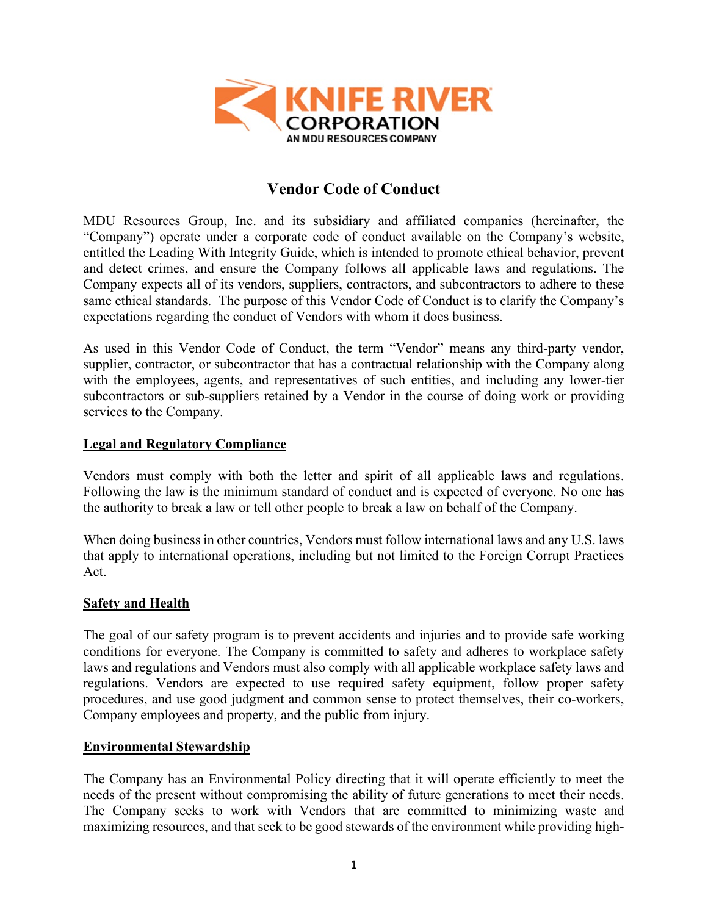

# **Vendor Code of Conduct**

MDU Resources Group, Inc. and its subsidiary and affiliated companies (hereinafter, the "Company") operate under a corporate code of conduct available on the Company's website, entitled the Leading With Integrity Guide, which is intended to promote ethical behavior, prevent and detect crimes, and ensure the Company follows all applicable laws and regulations. The Company expects all of its vendors, suppliers, contractors, and subcontractors to adhere to these same ethical standards. The purpose of this Vendor Code of Conduct is to clarify the Company's expectations regarding the conduct of Vendors with whom it does business.

As used in this Vendor Code of Conduct, the term "Vendor" means any third-party vendor, supplier, contractor, or subcontractor that has a contractual relationship with the Company along with the employees, agents, and representatives of such entities, and including any lower-tier subcontractors or sub-suppliers retained by a Vendor in the course of doing work or providing services to the Company.

#### **Legal and Regulatory Compliance**

Vendors must comply with both the letter and spirit of all applicable laws and regulations. Following the law is the minimum standard of conduct and is expected of everyone. No one has the authority to break a law or tell other people to break a law on behalf of the Company.

When doing business in other countries, Vendors must follow international laws and any U.S. laws that apply to international operations, including but not limited to the Foreign Corrupt Practices Act.

#### **Safety and Health**

The goal of our safety program is to prevent accidents and injuries and to provide safe working conditions for everyone. The Company is committed to safety and adheres to workplace safety laws and regulations and Vendors must also comply with all applicable workplace safety laws and regulations. Vendors are expected to use required safety equipment, follow proper safety procedures, and use good judgment and common sense to protect themselves, their co-workers, Company employees and property, and the public from injury.

#### **Environmental Stewardship**

The Company has an Environmental Policy directing that it will operate efficiently to meet the needs of the present without compromising the ability of future generations to meet their needs. The Company seeks to work with Vendors that are committed to minimizing waste and maximizing resources, and that seek to be good stewards of the environment while providing high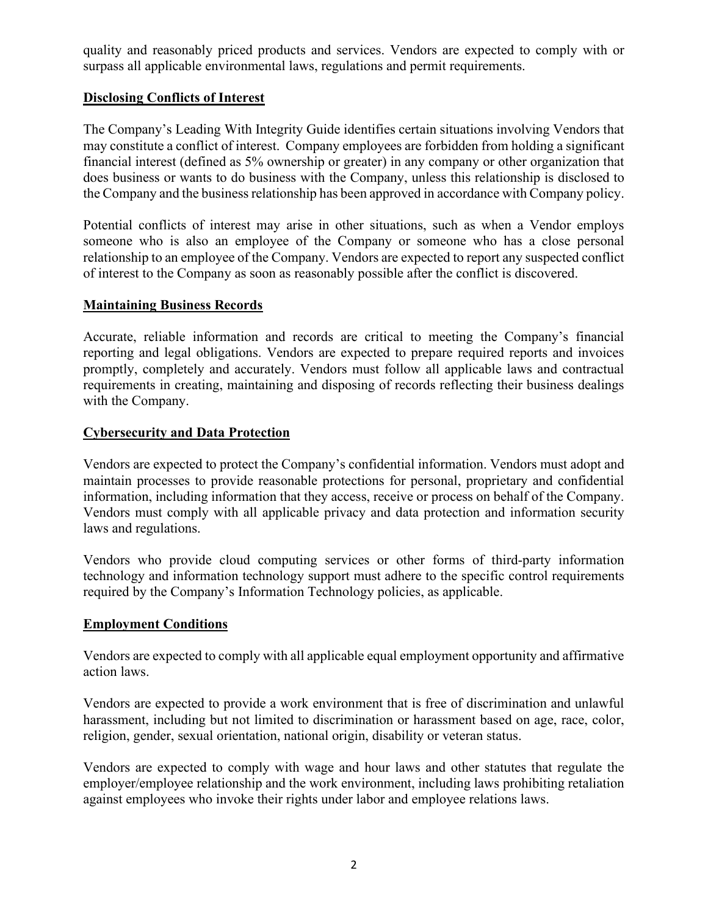quality and reasonably priced products and services. Vendors are expected to comply with or surpass all applicable environmental laws, regulations and permit requirements.

# **Disclosing Conflicts of Interest**

The Company's Leading With Integrity Guide identifies certain situations involving Vendors that may constitute a conflict of interest. Company employees are forbidden from holding a significant financial interest (defined as 5% ownership or greater) in any company or other organization that does business or wants to do business with the Company, unless this relationship is disclosed to the Company and the business relationship has been approved in accordance with Company policy.

Potential conflicts of interest may arise in other situations, such as when a Vendor employs someone who is also an employee of the Company or someone who has a close personal relationship to an employee of the Company. Vendors are expected to report any suspected conflict of interest to the Company as soon as reasonably possible after the conflict is discovered.

## **Maintaining Business Records**

Accurate, reliable information and records are critical to meeting the Company's financial reporting and legal obligations. Vendors are expected to prepare required reports and invoices promptly, completely and accurately. Vendors must follow all applicable laws and contractual requirements in creating, maintaining and disposing of records reflecting their business dealings with the Company.

## **Cybersecurity and Data Protection**

Vendors are expected to protect the Company's confidential information. Vendors must adopt and maintain processes to provide reasonable protections for personal, proprietary and confidential information, including information that they access, receive or process on behalf of the Company. Vendors must comply with all applicable privacy and data protection and information security laws and regulations.

Vendors who provide cloud computing services or other forms of third-party information technology and information technology support must adhere to the specific control requirements required by the Company's Information Technology policies, as applicable.

## **Employment Conditions**

Vendors are expected to comply with all applicable equal employment opportunity and affirmative action laws.

Vendors are expected to provide a work environment that is free of discrimination and unlawful harassment, including but not limited to discrimination or harassment based on age, race, color, religion, gender, sexual orientation, national origin, disability or veteran status.

Vendors are expected to comply with wage and hour laws and other statutes that regulate the employer/employee relationship and the work environment, including laws prohibiting retaliation against employees who invoke their rights under labor and employee relations laws.